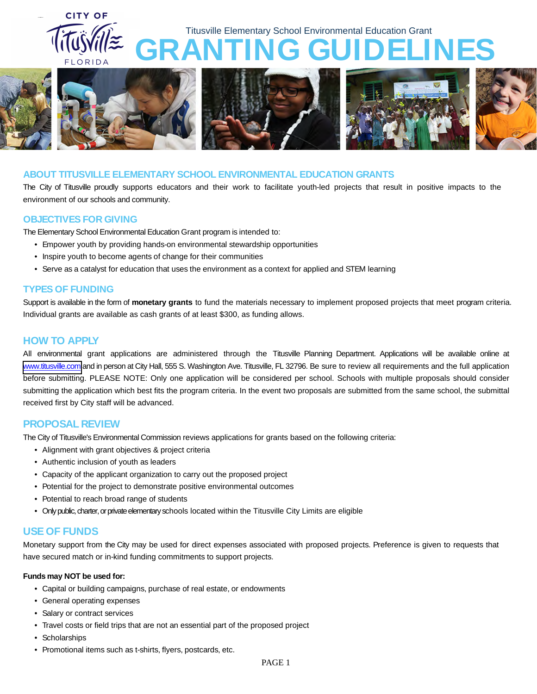



### **ABOUT TITUSVILLE ELEMENTARY SCHOOL ENVIRONMENTAL EDUCATION GRANTS**

The City of Titusville proudly supports educators and their work to facilitate youth-led projects that result in positive impacts to the environment of our schools and community.

### **OBJECTIVES FOR GIVING**

The Elementary School Environmental Education Grant program is intended to:

- Empower youth by providing hands-on environmental stewardship opportunities
- Inspire youth to become agents of change for their communities
- Serve as a catalyst for education that uses the environment as a context for applied and STEM learning

# **TYPES OF FUNDING**

Support is available in the form of **monetary grants** to fund the materials necessary to implement proposed projects that meet program criteria. Individual grants are available as cash grants of at least \$300, as funding allows.

# **HOW TO APPLY**

All environmental grant applications are administered through the Titusville Planning Department. Applications will be available online at [www.titusville.com](http://www.titusville.com) and in person at City Hall, 555 S. Washington Ave. Titusville, FL 32796. Be sure to review all requirements and the full application before submitting. PLEASE NOTE: Only one application will be considered per school. Schools with multiple proposals should consider submitting the application which best fits the program criteria. In the event two proposals are submitted from the same school, the submittal received first by City staff will be advanced.

# **PROPOSAL REVIEW**

The City of Titusville's Environmental [Commission reviews](http://www.projectlearninggarden.com/) applications for grants based on the following criteria:

- Alignment with grant objectives & project criteria
- Authentic inclusion of youth as leaders
- Capacity of the applicant organization to carry out the proposed project
- Potential for the project to demonstrate positive environmental outcomes
- Potential to reach broad range of students
- Only public, charter, or private elementary schools located within [the Titusville City Limits are eligible](http://www.projectlearninggarden.com/)

# **USE OF FUNDS**

Monetary support from the City may be used for direct expenses associated with proposed projects. Preference is given to requests that have secured match or in-kind funding commitments to support projects.

#### **Funds may NOT be used for:**

- Capital or building campaigns, purchase of real estate, or endowments
- General operating expenses
- Salary or contract services
- Travel costs or field trips that are not an essential part of the proposed project
- Scholarships
- Promotional items such as t-shirts, flyers, postcards, etc.